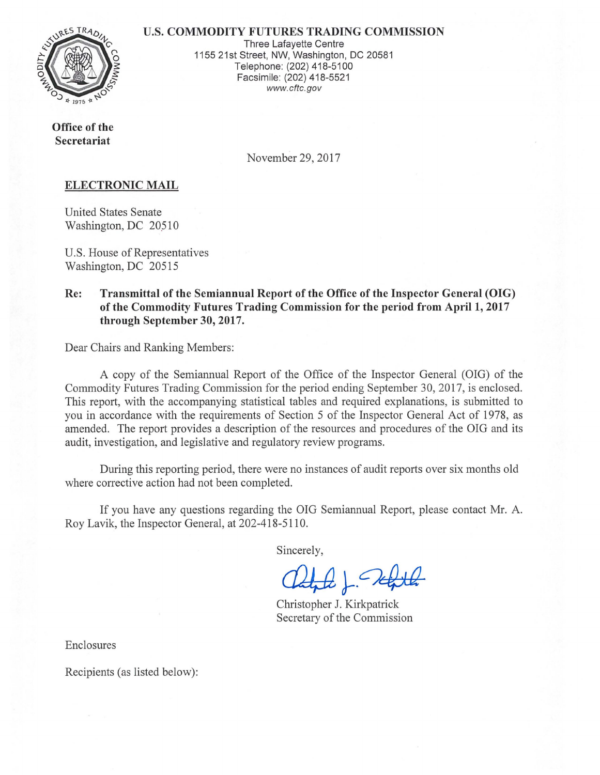

U.S. **COMMODITY FUTURES TRADING COMMISSION** 

Three Lafayette Centre 1155 21st Street, NW, Washington, DC 20581 Telephone: (202) 418-5100 Facsimile: (202) 418-5521 www.cftc.gov

**Office of the Secretariat** 

November 29, 2017

## **ELECTRONIC MAIL**

United States Senate Washington, DC 20510

U.S. House of Representatives Washington, DC 20515

## **Re: Transmittal of the Semiannual Report of the Office of the Inspector General (OIG) of the Commodity Futures Trading Commission for the period from April 1, 2017 through September 30, 2017.**

Dear Chairs and Ranking Members:

A copy of the Semiannual Report of the Office of the Inspector General (OIG) of the Commodity Futures Trading Commission for the period ending September 30, 2017, is enclosed. This report, with the accompanying statistical tables and required explanations, is submitted to you in accordance with the requirements of Section 5 of the Inspector General Act of 1978, as amended. The report provides a description of the resources and procedures of the OIG and its audit, investigation, and legislative and regulatory review programs.

During this reporting period, there were no instances of audit reports over six months old where corrective action had not been completed.

If you have any questions regarding the OIG Semiannual Report, please contact Mr. A. Roy Lavik, the Inspector General, at 202-418-5110.

Sincerely,

Christopher J. Kirkpatrick Secretary of the Commission

Enclosures

Recipients (as listed below):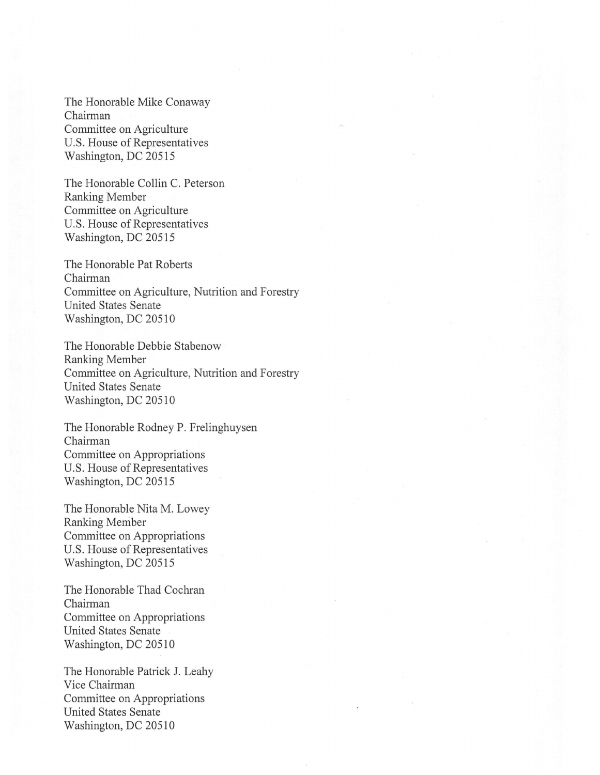The Honorable Mike Conaway Chairman Committee on Agriculture U.S. House of Representatives Washington, DC 20515

The Honorable Collin C. Peterson Ranking Member Committee on Agriculture U.S. House of Representatives Washington, DC 20515

The Honorable Pat Roberts Chairman Committee on Agriculture, Nutrition and Forestry United States Senate Washington, DC 20510

The Honorable Debbie Stabenow Ranking Member Committee on Agriculture, Nutrition and Forestry United States Senate Washington, DC 20510

The Honorable Rodney P. Frelinghuysen Chairman Committee on Appropriations U.S. House of Representatives Washington, DC 20515

The Honorable Nita M. Lowey Ranking Member Committee on Appropriations U.S. House of Representatives Washington, DC 20515

The Honorable Thad Cochran Chairman Committee on Appropriations United States Senate Washington, DC 20510

The Honorable Patrick J. Leahy Vice Chairman Committee on Appropriations United States Senate Washington, DC 20510